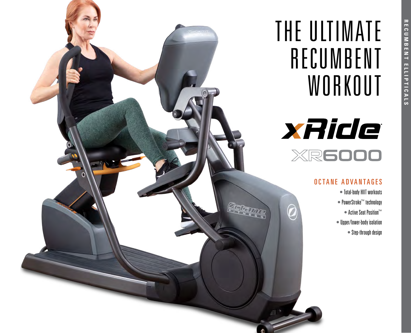# THE ULTIMATE RECUMBENT **WORKOUT**



## OCTANE ADVANTAGES

- Total-body HIIT workouts
- PowerStroke™ technology
	- Active Seat Position™
- Upper/lower-body isolation
	- Step-through design